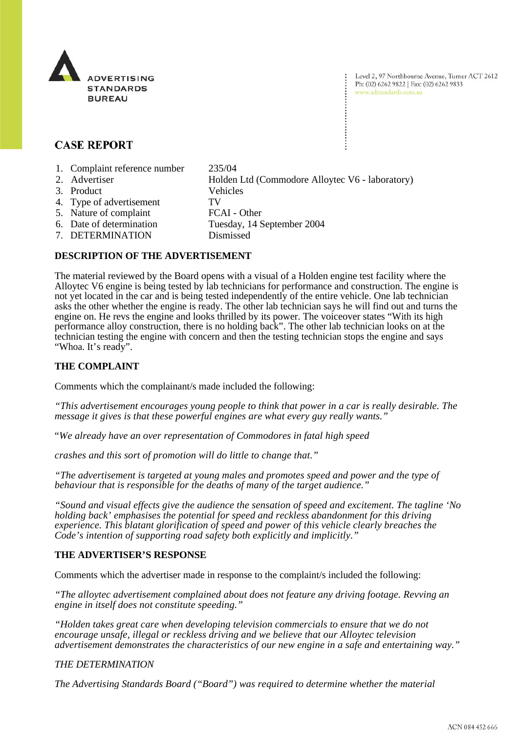

Level 2, 97 Northbourne Avenue, Turner ACT 2612 Ph: (02) 6262 9822 | Fax: (02) 6262 9833 www.adstandards.com.au

# **CASE REPORT**

- 1. Complaint reference number 235/04
- 2. Advertiser Holden Ltd (Commodore Alloytec V6 laboratory) 3. Product Vehicles 4. Type of advertisement TV 5. Nature of complaint FCAI - Other
- 6. Date of determination Tuesday, 14 September 2004
	- 7. DETERMINATION Dismissed

## **DESCRIPTION OF THE ADVERTISEMENT**

The material reviewed by the Board opens with a visual of a Holden engine test facility where the Alloytec V6 engine is being tested by lab technicians for performance and construction. The engine is not yet located in the car and is being tested independently of the entire vehicle. One lab technician asks the other whether the engine is ready. The other lab technician says he will find out and turns the engine on. He revs the engine and looks thrilled by its power. The voiceover states "With its high performance alloy construction, there is no holding back". The other lab technician looks on at the technician testing the engine with concern and then the testing technician stops the engine and says "Whoa. It's ready".

## **THE COMPLAINT**

Comments which the complainant/s made included the following:

*"This advertisement encourages young people to think that power in a car is really desirable. The message it gives is that these powerful engines are what every guy really wants."*

"*We already have an over representation of Commodores in fatal high speed* 

*crashes and this sort of promotion will do little to change that."*

*"The advertisement is targeted at young males and promotes speed and power and the type of behaviour that is responsible for the deaths of many of the target audience."*

*"Sound and visual effects give the audience the sensation of speed and excitement. The tagline 'No holding back' emphasises the potential for speed and reckless abandonment for this driving experience. This blatant glorification of speed and power of this vehicle clearly breaches the Code's intention of supporting road safety both explicitly and implicitly."*

### **THE ADVERTISER'S RESPONSE**

Comments which the advertiser made in response to the complaint/s included the following:

*"The alloytec advertisement complained about does not feature any driving footage. Revving an engine in itself does not constitute speeding."*

*"Holden takes great care when developing television commercials to ensure that we do not encourage unsafe, illegal or reckless driving and we believe that our Alloytec television advertisement demonstrates the characteristics of our new engine in a safe and entertaining way."*

### *THE DETERMINATION*

*The Advertising Standards Board ("Board") was required to determine whether the material*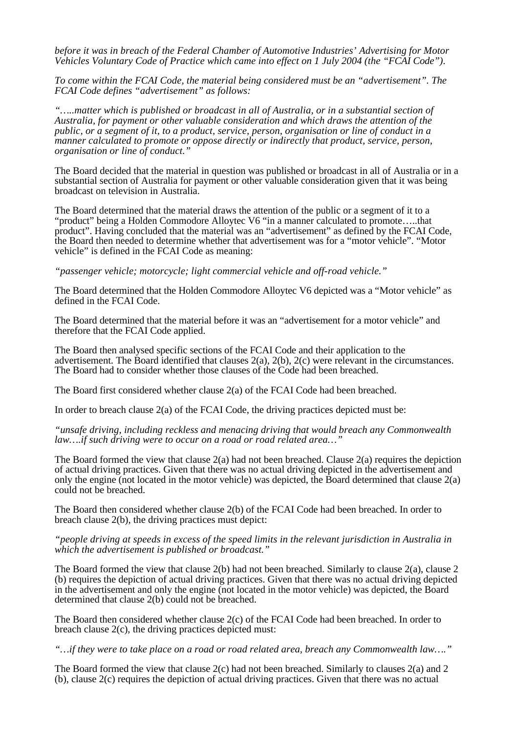*before it was in breach of the Federal Chamber of Automotive Industries' Advertising for Motor Vehicles Voluntary Code of Practice which came into effect on 1 July 2004 (the "FCAI Code").* 

*To come within the FCAI Code, the material being considered must be an "advertisement". The FCAI Code defines "advertisement" as follows:* 

*"…..matter which is published or broadcast in all of Australia, or in a substantial section of Australia, for payment or other valuable consideration and which draws the attention of the public, or a segment of it, to a product, service, person, organisation or line of conduct in a manner calculated to promote or oppose directly or indirectly that product, service, person, organisation or line of conduct."*

The Board decided that the material in question was published or broadcast in all of Australia or in a substantial section of Australia for payment or other valuable consideration given that it was being broadcast on television in Australia.

The Board determined that the material draws the attention of the public or a segment of it to a "product" being a Holden Commodore Alloytec V6 "in a manner calculated to promote…..that product". Having concluded that the material was an "advertisement" as defined by the FCAI Code, the Board then needed to determine whether that advertisement was for a "motor vehicle". "Motor vehicle" is defined in the FCAI Code as meaning:

*"passenger vehicle; motorcycle; light commercial vehicle and off-road vehicle."*

The Board determined that the Holden Commodore Alloytec V6 depicted was a "Motor vehicle" as defined in the FCAI Code.

The Board determined that the material before it was an "advertisement for a motor vehicle" and therefore that the FCAI Code applied.

The Board then analysed specific sections of the FCAI Code and their application to the advertisement. The Board identified that clauses 2(a), 2(b), 2(c) were relevant in the circumstances. The Board had to consider whether those clauses of the Code had been breached.

The Board first considered whether clause 2(a) of the FCAI Code had been breached.

In order to breach clause 2(a) of the FCAI Code, the driving practices depicted must be:

*"unsafe driving, including reckless and menacing driving that would breach any Commonwealth law….if such driving were to occur on a road or road related area…"*

The Board formed the view that clause 2(a) had not been breached. Clause 2(a) requires the depiction of actual driving practices. Given that there was no actual driving depicted in the advertisement and only the engine (not located in the motor vehicle) was depicted, the Board determined that clause  $2(a)$ could not be breached.

The Board then considered whether clause 2(b) of the FCAI Code had been breached. In order to breach clause 2(b), the driving practices must depict:

#### *"people driving at speeds in excess of the speed limits in the relevant jurisdiction in Australia in which the advertisement is published or broadcast."*

The Board formed the view that clause 2(b) had not been breached. Similarly to clause 2(a), clause 2 (b) requires the depiction of actual driving practices. Given that there was no actual driving depicted in the advertisement and only the engine (not located in the motor vehicle) was depicted, the Board determined that clause 2(b) could not be breached.

The Board then considered whether clause 2(c) of the FCAI Code had been breached. In order to breach clause 2(c), the driving practices depicted must:

*"…if they were to take place on a road or road related area, breach any Commonwealth law…."*

The Board formed the view that clause 2(c) had not been breached. Similarly to clauses 2(a) and 2 (b), clause 2(c) requires the depiction of actual driving practices. Given that there was no actual